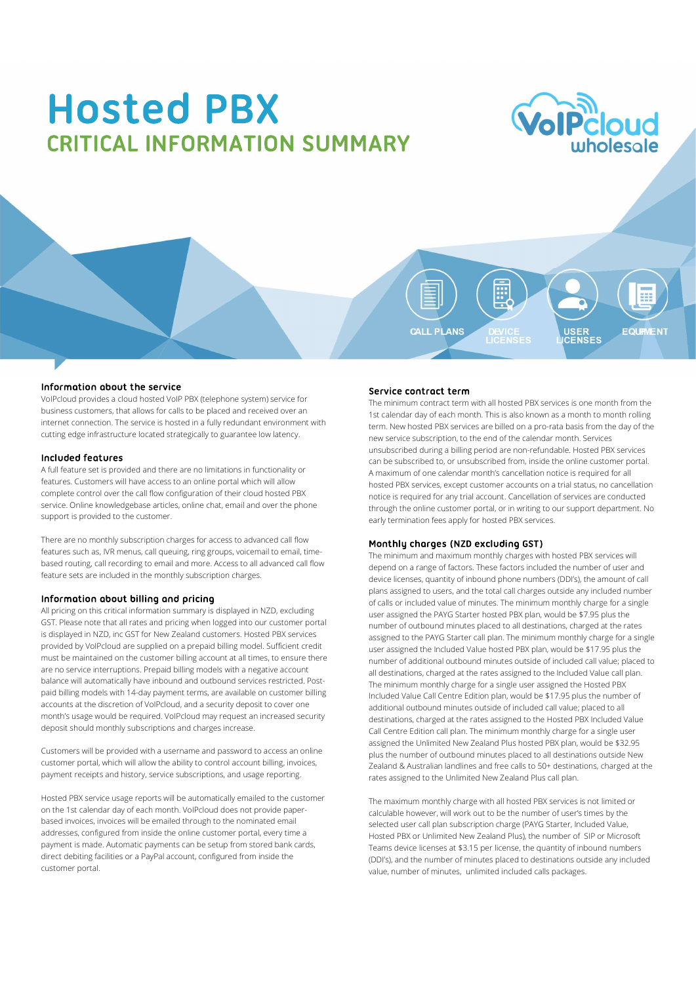# **Hosted PBX CRITICAL INFORMATION SUMMARY**



m CALL PLANS USER<br>CENSES FOLIAMENT

### Information about the service

VoIPcloud provides a cloud hosted VoIP PBX (telephone system) service for business customers, that allows for calls to be placed and received over an internet connection. The service is hosted in a fully redundant environment with cutting edge infrastructure located strategically to guarantee low latency.

### Included features

A full feature set is provided and there are no limitations in functionality or features. Customers will have access to an online portal which will allow complete control over the call flow configuration of their cloud hosted PBX service. Online knowledgebase articles, online chat, email and over the phone support is provided to the customer.

There are no monthly subscription charges for access to advanced call flow **Monthly charges (NZD excluding GST)** features such as, IVR menus, call queuing, ring groups, voicemail to email, timebased routing, call recording to email and more. Access to all advanced call flow feature sets are included in the monthly subscription charges.

### Information about billing and pricing

All pricing on this critical information summary is displayed in NZD, excluding GST. Please note that all rates and pricing when logged into our customer portal is displayed in NZD, inc GST for New Zealand customers. Hosted PBX services provided by VoIPcloud are supplied on a prepaid billing model. Sufficient credit must be maintained on the customer billing account at all times, to ensure there are no service interruptions. Prepaid billing models with a negative account balance will automatically have inbound and outbound services restricted. Postpaid billing models with 14-day payment terms, are available on customer billing accounts at the discretion of VoIPcloud, and a security deposit to cover one month's usage would be required. VoIPcloud may request an increased security deposit should monthly subscriptions and charges increase.

Customers will be provided with a username and password to access an online customer portal, which will allow the ability to control account billing, invoices, payment receipts and history, service subscriptions, and usage reporting.

Hosted PBX service usage reports will be automatically emailed to the customer on the 1st calendar day of each month. VoIPcloud does not provide paperbased invoices, invoices will be emailed through to the nominated email addresses, configured from inside the online customer portal, every time a payment is made. Automatic payments can be setup from stored bank cards, direct debiting facilities or a PayPal account, configured from inside the customer portal.

### Service contract term

The minimum contract term with all hosted PBX services is one month from the 1st calendar day of each month. This is also known as a month to month rolling term. New hosted PBX services are billed on a pro-rata basis from the day of the new service subscription, to the end of the calendar month. Services unsubscribed during a billing period are non-refundable. Hosted PBX services can be subscribed to, or unsubscribed from, inside the online customer portal. A maximum of one calendar month's cancellation notice is required for all hosted PBX services, except customer accounts on a trial status, no cancellation notice is required for any trial account. Cancellation of services are conducted through the online customer portal, or in writing to our support department. No early termination fees apply for hosted PBX services.

The minimum and maximum monthly charges with hosted PBX services will depend on a range of factors. These factors included the number of user and device licenses, quantity of inbound phone numbers (DDI's), the amount of call plans assigned to users, and the total call charges outside any included number of calls or included value of minutes. The minimum monthly charge for a single user assigned the PAYG Starter hosted PBX plan, would be \$7.95 plus the number of outbound minutes placed to all destinations, charged at the rates assigned to the PAYG Starter call plan. The minimum monthly charge for a single user assigned the Included Value hosted PBX plan, would be \$17.95 plus the number of additional outbound minutes outside of included call value; placed to all destinations, charged at the rates assigned to the Included Value call plan. The minimum monthly charge for a single user assigned the Hosted PBX Included Value Call Centre Edition plan, would be \$17.95 plus the number of additional outbound minutes outside of included call value; placed to all destinations, charged at the rates assigned to the Hosted PBX Included Value Call Centre Edition call plan. The minimum monthly charge for a single user assigned the Unlimited New Zealand Plus hosted PBX plan, would be \$32.95 plus the number of outbound minutes placed to all destinations outside New Zealand & Australian landlines and free calls to 50+ destinations, charged at the rates assigned to the Unlimited New Zealand Plus call plan.

The maximum monthly charge with all hosted PBX services is not limited or calculable however, will work out to be the number of user's times by the selected user call plan subscription charge (PAYG Starter, Included Value, Hosted PBX or Unlimited New Zealand Plus), the number of SIP or Microsoft Teams device licenses at \$3.15 per license, the quantity of inbound numbers (DDI's), and the number of minutes placed to destinations outside any included value, number of minutes, unlimited included calls packages.